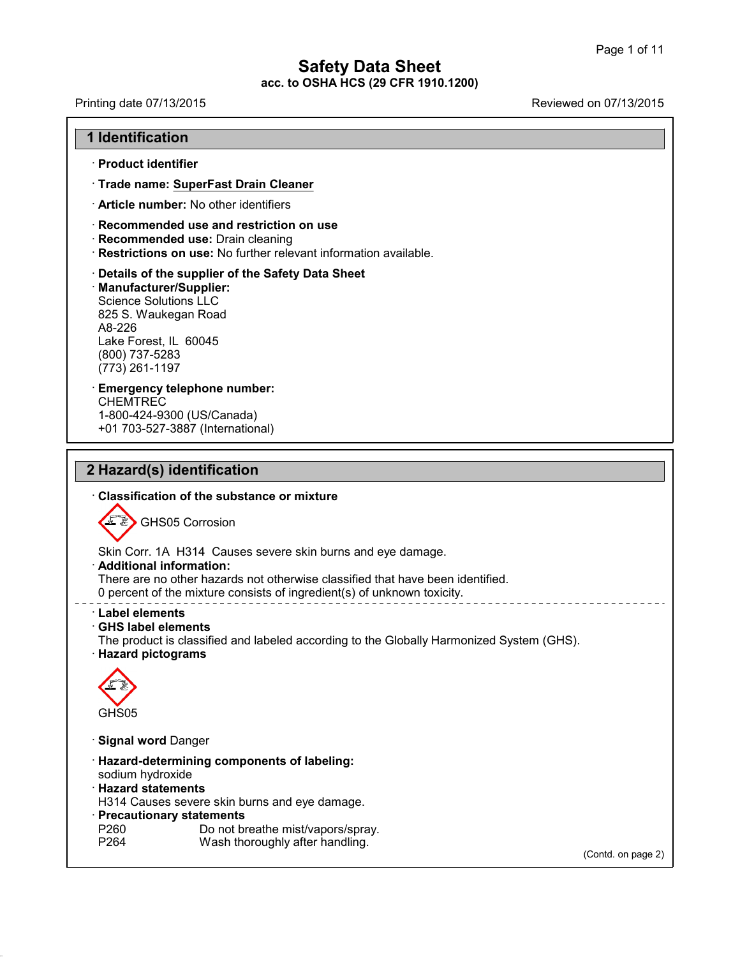Printing date 07/13/2015 Reviewed on 07/13/2015

### **1 Identification**

· **Product identifier**

· **Trade name: SuperFast Drain Cleaner**

· **Article number:** No other identifiers

· **Recommended use and restriction on use**

· **Recommended use:** Drain cleaning

· **Restrictions on use:** No further relevant information available.

· **Details of the supplier of the Safety Data Sheet** · **Manufacturer/Supplier:** Science Solutions LLC 825 S. Waukegan Road A8-226 Lake Forest, IL 60045 (800) 737-5283 (773) 261-1197

· **Emergency telephone number:** CHEMTREC 1-800-424-9300 (US/Canada) +01 703-527-3887 (International)

## **2 Hazard(s) identification**

41.1.0

· **Classification of the substance ormixture** GHS05 Corrosion Skin Corr. 1A H314 Causes severe skin burns and eye damage. · **Additional information:** There are no other hazards not otherwise classified that have been identified. 0 percent of the mixture consists of ingredient(s) of unknown toxicity. · **Label elements** · **GHS label elements** The product is classified and labeled according to the Globally Harmonized System (GHS). · **Hazard pictograms** GHS05 · **Signal word** Danger · **Hazard-determining components of labeling:** sodium hydroxide · **Hazard statements** H314 Causes severe skin burns and eye damage. · **Precautionary statements** P260 Do not breathe mist/vapors/spray.<br>P264 Wash thoroughly after handling. Wash thoroughly after handling. (Contd. on page 2)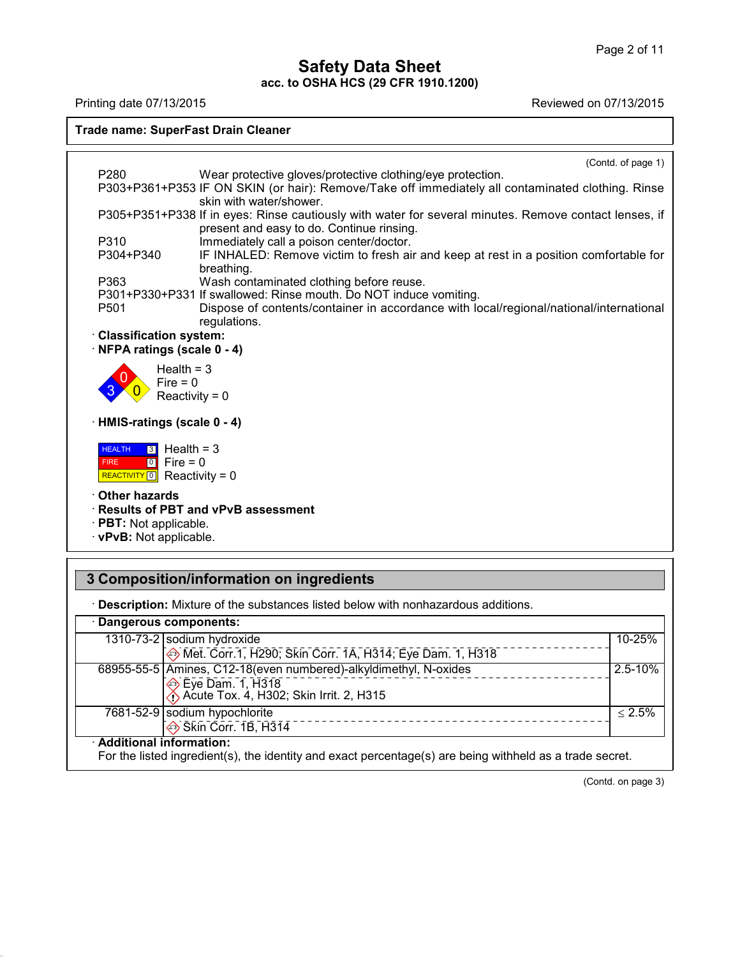# **Safety Data Sheet**

**acc. to OSHA HCS (29 CFR 1910.1200)** Printing date 07/13/2015 Reviewed on 07/13/2015



## **3 Composition/information on ingredients**

41.1.0

· **Description:** Mixture of the substances listed below with nonhazardous additions.

| · Dangerous components:                                                           |                                                                                                          |
|-----------------------------------------------------------------------------------|----------------------------------------------------------------------------------------------------------|
| 1310-73-2 sodium hydroxide                                                        | $10 - 25%$                                                                                               |
|                                                                                   | Met. Corr.1, H290; Skin Corr. 1A, H314; Eye Dam. 1, H318                                                 |
| → Eye Dam. 1, H318<br>→ Acute Tox. 4, H302; Skin Irrit. 2, H315                   | 68955-55-5 Amines, C12-18 (even numbered)-alkyldimethyl, N-oxides<br>$2.5 - 10%$                         |
| 7681-52-9 sodium hypochlorite<br>$\overline{\Leftrightarrow}$ Skin Corr. 1B, H314 | $\leq 2.5\%$                                                                                             |
| · Additional information:                                                         | For the listed ingredient(s), the identity and exact percentage(s) are being withheld as a trade secret. |

(Contd. on page 3)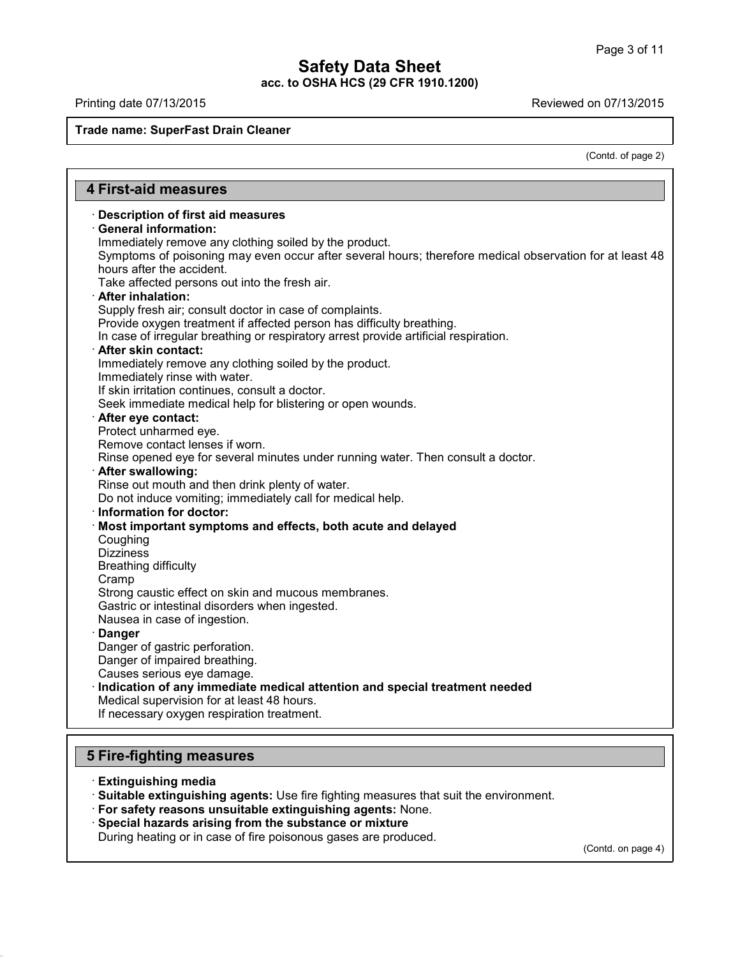Printing date 07/13/2015 Reviewed on 07/13/2015

**Trade name: SuperFast Drain Cleaner**

(Contd. of page 2)

| · Description of first aid measures                                                                     |  |
|---------------------------------------------------------------------------------------------------------|--|
| <b>General information:</b>                                                                             |  |
| Immediately remove any clothing soiled by the product.                                                  |  |
| Symptoms of poisoning may even occur after several hours; therefore medical observation for at least 48 |  |
| hours after the accident.                                                                               |  |
| Take affected persons out into the fresh air.                                                           |  |
| · After inhalation:                                                                                     |  |
| Supply fresh air; consult doctor in case of complaints.                                                 |  |
| Provide oxygen treatment if affected person has difficulty breathing.                                   |  |
| In case of irregular breathing or respiratory arrest provide artificial respiration.                    |  |
| · After skin contact:                                                                                   |  |
| Immediately remove any clothing soiled by the product.                                                  |  |
| Immediately rinse with water.                                                                           |  |
| If skin irritation continues, consult a doctor.                                                         |  |
| Seek immediate medical help for blistering or open wounds.                                              |  |
| · After eye contact:                                                                                    |  |
| Protect unharmed eye.                                                                                   |  |
| Remove contact lenses if worn.                                                                          |  |
| Rinse opened eye for several minutes under running water. Then consult a doctor.                        |  |
| · After swallowing:                                                                                     |  |
| Rinse out mouth and then drink plenty of water.                                                         |  |
| Do not induce vomiting; immediately call for medical help.                                              |  |
| · Information for doctor:                                                                               |  |
| · Most important symptoms and effects, both acute and delayed                                           |  |
| Coughing                                                                                                |  |
| <b>Dizziness</b>                                                                                        |  |
| <b>Breathing difficulty</b>                                                                             |  |
| Cramp                                                                                                   |  |
| Strong caustic effect on skin and mucous membranes.                                                     |  |
| Gastric or intestinal disorders when ingested.                                                          |  |
| Nausea in case of ingestion.                                                                            |  |
| <b>Danger</b>                                                                                           |  |
| Danger of gastric perforation.                                                                          |  |
| Danger of impaired breathing.                                                                           |  |
| Causes serious eye damage.                                                                              |  |
| Indication of any immediate medical attention and special treatment needed                              |  |
| Medical supervision for at least 48 hours.                                                              |  |
| If necessary oxygen respiration treatment.                                                              |  |

## · **Extinguishing media**

41.1.0

· **Suitable extinguishing agents:** Use fire fighting measures that suit the environment.

· **For safety reasons unsuitable extinguishing agents:** None.

· **Special hazards arising from the substance or mixture**

During heating or in case of fire poisonous gases are produced.

(Contd. on page 4)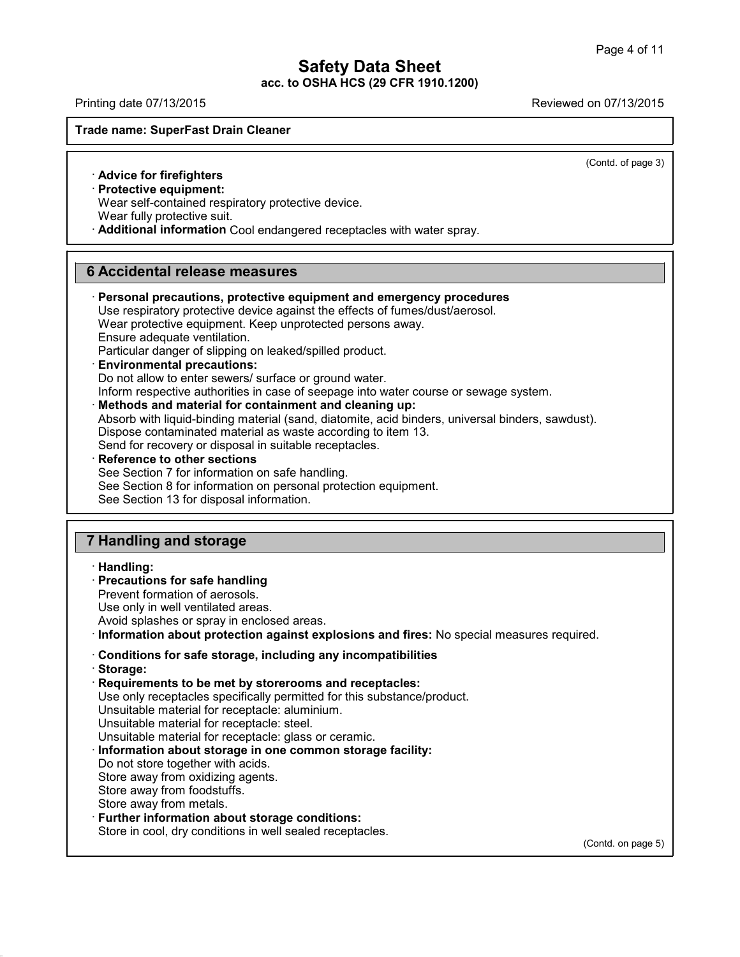Printing date 07/13/2015 Reviewed on 07/13/2015

#### **Trade name: SuperFast Drain Cleaner**

(Contd. of page 3)

#### · **Advice for firefighters**

· **Protective equipment:**

Wear self-contained respiratory protective device.

Wear fully protective suit.

· **Additional information** Cool endangered receptacles with water spray.

## **6 Accidental release measures**

· **Personal precautions, protective equipment and emergency procedures** Use respiratory protective device against the effects of fumes/dust/aerosol. Wear protective equipment. Keep unprotected persons away. Ensure adequate ventilation. Particular danger of slipping on leaked/spilled product. · **Environmental precautions:** Do not allow to enter sewers/ surface or ground water. Inform respective authorities in case of seepage into water course or sewage system. · **Methods and material for containment and cleaning up:** Absorb with liquid-binding material (sand, diatomite, acid binders, universal binders, sawdust). Dispose contaminated material as waste according to item 13. Send for recovery or disposal in suitable receptacles. · **Reference to other sections** See Section 7 for information on safe handling. See Section 8 for information on personal protection equipment. See Section 13 for disposal information. **7 Handling and storage** · **Handling:** · **Precautions for safe handling**

Prevent formation of aerosols.

Use only in well ventilated areas.

Avoid splashes or spray in enclosed areas.

· **Information about protection against explosions and fires:** No special measures required.

## · **Conditions for safe storage, including any incompatibilities**

· **Storage:**

41.1.0

· **Requirements to be met by storerooms and receptacles:**

Use only receptacles specifically permitted for this substance/product.

Unsuitable material for receptacle: aluminium.

Unsuitable material for receptacle: steel.

Unsuitable material for receptacle: glass or ceramic.

· **Information about storage in one common storage facility:**

Do not store together with acids.

Store away from oxidizing agents.

Store away from foodstuffs.

Store away from metals.

· **Further information about storage conditions:**

Store in cool, dry conditions in well sealed receptacles.

(Contd. on page 5)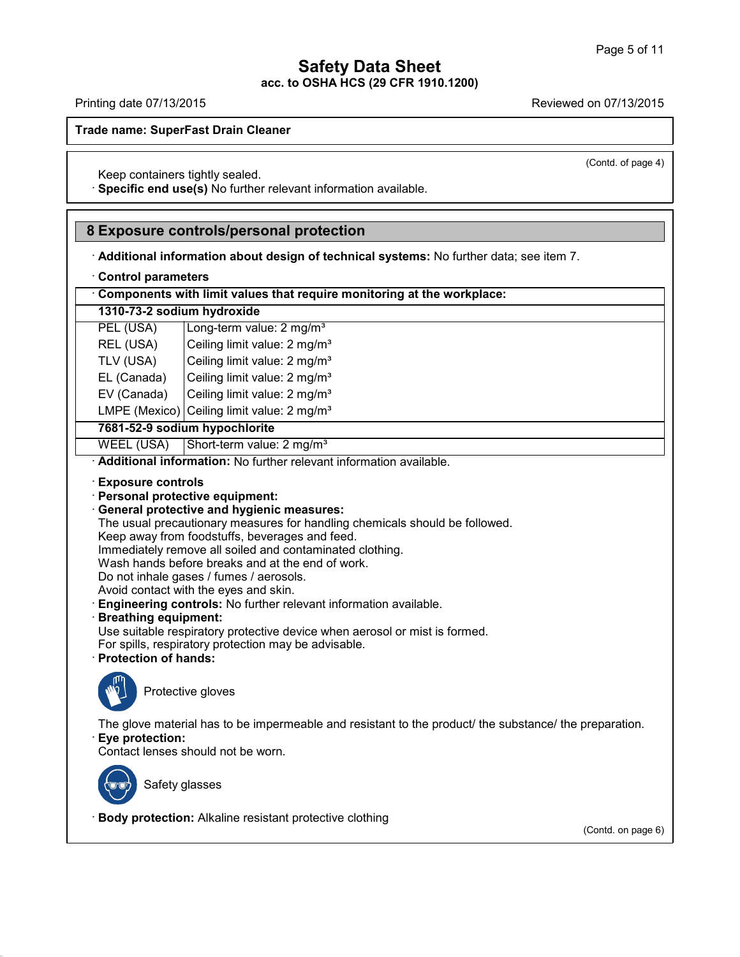(Contd. of page 4)

## **Safety Data Sheet acc. to OSHA HCS (29 CFR 1910.1200)**

Printing date 07/13/2015 Reviewed on 07/13/2015

**Trade name: SuperFast Drain Cleaner**

Keep containers tightly sealed.

· **Specific end use(s)** No further relevant information available.

## **8 Exposure controls/personal protection**

· **Additional information about design of technical systems:** No further data; see item 7.

· **Control parameters**

· **Components with limit values that require monitoring at the workplace:**

| 1310-73-2 sodium hydroxide |  |
|----------------------------|--|
|----------------------------|--|

| PEL (USA)   | Long-term value: 2 mg/m <sup>3</sup>     |
|-------------|------------------------------------------|
| REL (USA)   | Ceiling limit value: 2 mg/m <sup>3</sup> |
| TLV (USA)   | Ceiling limit value: 2 mg/m <sup>3</sup> |
| EL (Canada) | Ceiling limit value: 2 mg/m <sup>3</sup> |
| EV (Canada) | Ceiling limit value: 2 mg/m <sup>3</sup> |

LMPE (Mexico) Ceiling limit value:  $2 \text{ mg/m}^3$ 

## **7681-52-9 sodium hypochlorite**

WEEL (USA) Short-term value:  $2 \text{ mg/m}^3$ 

· **Additional information:** No further relevant information available.

- · **Exposure controls**
- · **Personal protective equipment:**
- · **General protective and hygienic measures:**

The usual precautionary measures for handling chemicals should be followed.

Keep away from foodstuffs, beverages and feed.

Immediately remove all soiled and contaminated clothing.

Wash hands before breaks and at the end of work.

- Do not inhale gases / fumes / aerosols.
- Avoid contact with the eyes and skin.
- · **Engineering controls:** No further relevant information available.

### · **Breathing equipment:**

Use suitable respiratory protective device when aerosol or mist is formed.

For spills, respiratory protection may be advisable.

· **Protection of hands:**



Protective gloves

The glove material has to be impermeable and resistant to the product/ the substance/ the preparation. · **Eye protection:**

Contact lenses should not be worn.



41.1.0

Safety glasses

· **Body protection:** Alkaline resistant protective clothing

(Contd. on page 6)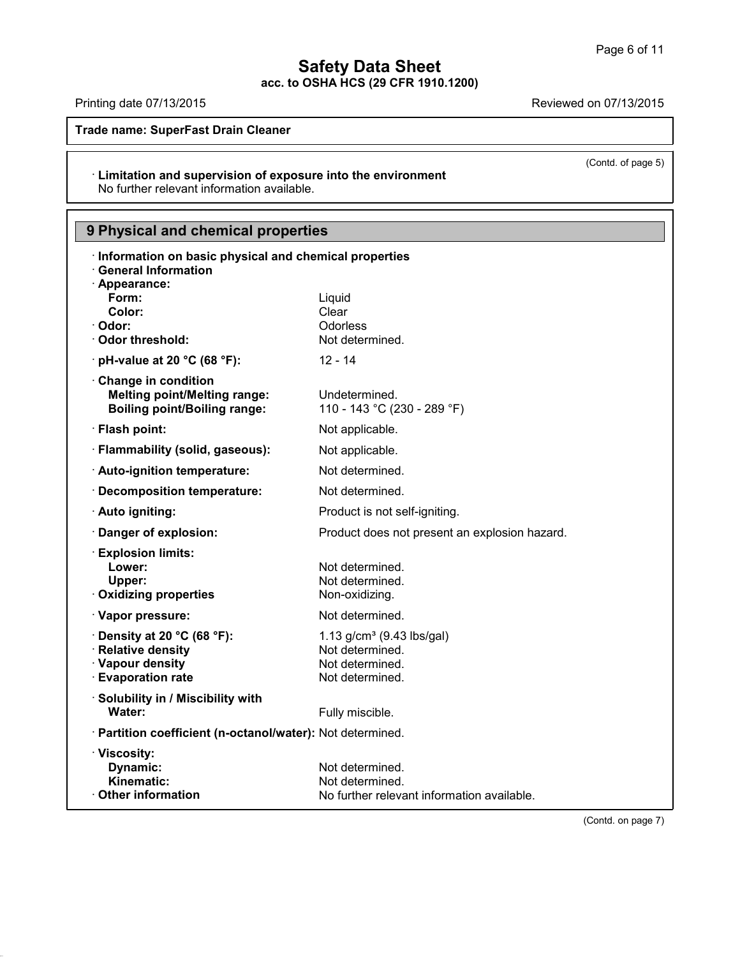(Contd. of page 5)

# **Safety Data Sheet**

**acc. to OSHA HCS (29 CFR 1910.1200)**

Printing date 07/13/2015 **Reviewed on 07/13/2015** 

41.1.0

**Trade name: SuperFast Drain Cleaner**

## · **Limitation and supervision of exposure into the environment** No further relevant information available.

## **9 Physical and chemical properties**

| Information on basic physical and chemical properties<br><b>General Information</b><br>· Appearance: |                                                               |
|------------------------------------------------------------------------------------------------------|---------------------------------------------------------------|
| Form:                                                                                                | Liquid                                                        |
| Color:                                                                                               | Clear                                                         |
| · Odor:<br>· Odor threshold:                                                                         | Odorless<br>Not determined.                                   |
| $\cdot$ pH-value at 20 °C (68 °F):                                                                   | $12 - 14$                                                     |
|                                                                                                      |                                                               |
| Change in condition<br><b>Melting point/Melting range:</b><br><b>Boiling point/Boiling range:</b>    | Undetermined.<br>110 - 143 °C (230 - 289 °F)                  |
| · Flash point:                                                                                       | Not applicable.                                               |
| · Flammability (solid, gaseous):                                                                     | Not applicable.                                               |
| · Auto-ignition temperature:                                                                         | Not determined.                                               |
| Decomposition temperature:                                                                           | Not determined.                                               |
| · Auto igniting:                                                                                     | Product is not self-igniting.                                 |
| Danger of explosion:                                                                                 | Product does not present an explosion hazard.                 |
| <b>Explosion limits:</b>                                                                             |                                                               |
| Lower:<br>Upper:                                                                                     | Not determined.<br>Not determined.                            |
| · Oxidizing properties                                                                               | Non-oxidizing.                                                |
| · Vapor pressure:                                                                                    | Not determined.                                               |
| $\cdot$ Density at 20 °C (68 °F):                                                                    | 1.13 $g/cm^3$ (9.43 lbs/gal)                                  |
| · Relative density                                                                                   | Not determined.                                               |
| · Vapour density<br><b>Evaporation rate</b>                                                          | Not determined.<br>Not determined.                            |
|                                                                                                      |                                                               |
| · Solubility in / Miscibility with<br>Water:                                                         | Fully miscible.                                               |
| · Partition coefficient (n-octanol/water): Not determined.                                           |                                                               |
| · Viscosity:                                                                                         |                                                               |
| Dynamic:                                                                                             | Not determined.                                               |
| Kinematic:<br>Other information                                                                      | Not determined.<br>No further relevant information available. |
|                                                                                                      |                                                               |

(Contd. on page 7)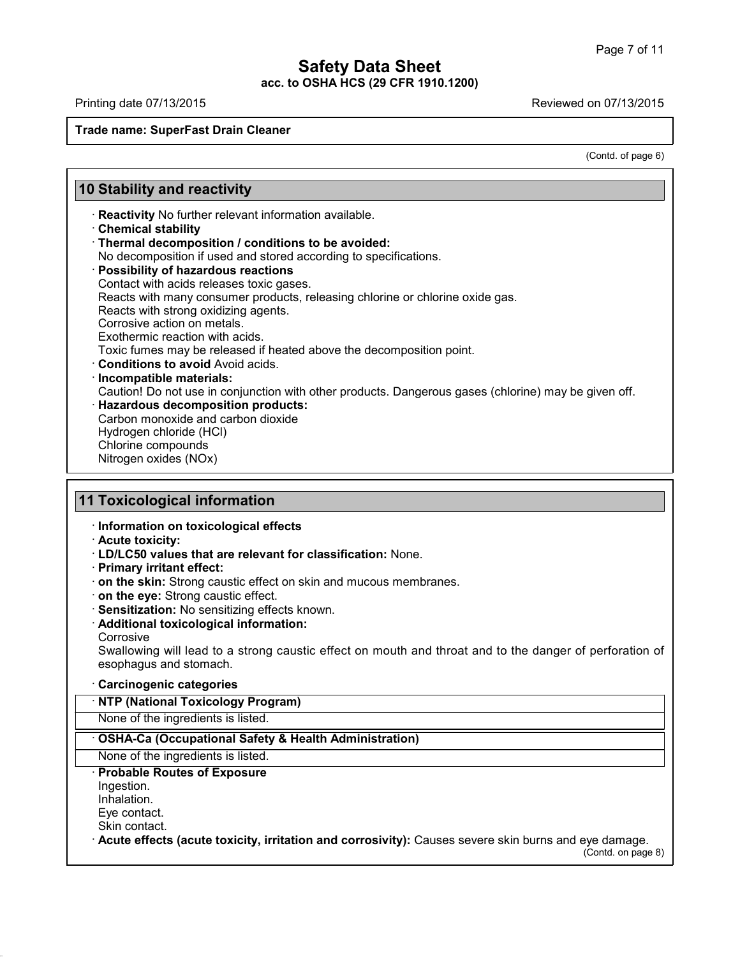$\mathsf{I}$ 

41.1.0

Printing date 07/13/2015 Printing date 07/13/2015

## **Trade name: SuperFast Drain Cleaner**

(Contd. of page 6)

T

|                             | <b>10 Stability and reactivity</b>                                                                                         |
|-----------------------------|----------------------------------------------------------------------------------------------------------------------------|
|                             | Reactivity No further relevant information available.                                                                      |
| <b>Chemical stability</b>   |                                                                                                                            |
|                             | · Thermal decomposition / conditions to be avoided:                                                                        |
|                             | No decomposition if used and stored according to specifications.                                                           |
|                             | · Possibility of hazardous reactions                                                                                       |
|                             | Contact with acids releases toxic gases.                                                                                   |
|                             | Reacts with many consumer products, releasing chlorine or chlorine oxide gas.                                              |
|                             | Reacts with strong oxidizing agents.                                                                                       |
| Corrosive action on metals. |                                                                                                                            |
|                             | Exothermic reaction with acids.                                                                                            |
|                             | Toxic fumes may be released if heated above the decomposition point.<br><b>Conditions to avoid Avoid acids.</b>            |
| · Incompatible materials:   |                                                                                                                            |
|                             | Caution! Do not use in conjunction with other products. Dangerous gases (chlorine) may be given off.                       |
|                             | · Hazardous decomposition products:                                                                                        |
|                             | Carbon monoxide and carbon dioxide                                                                                         |
| Hydrogen chloride (HCI)     |                                                                                                                            |
| Chlorine compounds          |                                                                                                                            |
| Nitrogen oxides (NOx)       |                                                                                                                            |
| · Acute toxicity:           | · LD/LC50 values that are relevant for classification: None.                                                               |
| · Primary irritant effect:  |                                                                                                                            |
|                             | on the skin: Strong caustic effect on skin and mucous membranes.                                                           |
|                             | on the eye: Strong caustic effect.                                                                                         |
|                             | · Sensitization: No sensitizing effects known.                                                                             |
|                             | · Additional toxicological information:                                                                                    |
| Corrosive                   |                                                                                                                            |
|                             | Swallowing will lead to a strong caustic effect on mouth and throat and to the danger of perforation of                    |
| esophagus and stomach.      |                                                                                                                            |
| · Carcinogenic categories   |                                                                                                                            |
|                             |                                                                                                                            |
|                             | <b>NTP (National Toxicology Program)</b>                                                                                   |
|                             | None of the ingredients is listed.                                                                                         |
|                             | OSHA-Ca (Occupational Safety & Health Administration)                                                                      |
|                             | None of the ingredients is listed.                                                                                         |
|                             | · Probable Routes of Exposure                                                                                              |
| Ingestion.                  |                                                                                                                            |
| Inhalation.                 |                                                                                                                            |
| Eye contact.                |                                                                                                                            |
| Skin contact.               |                                                                                                                            |
|                             | Acute effects (acute toxicity, irritation and corrosivity): Causes severe skin burns and eye damage.<br>(Contd. on page 8) |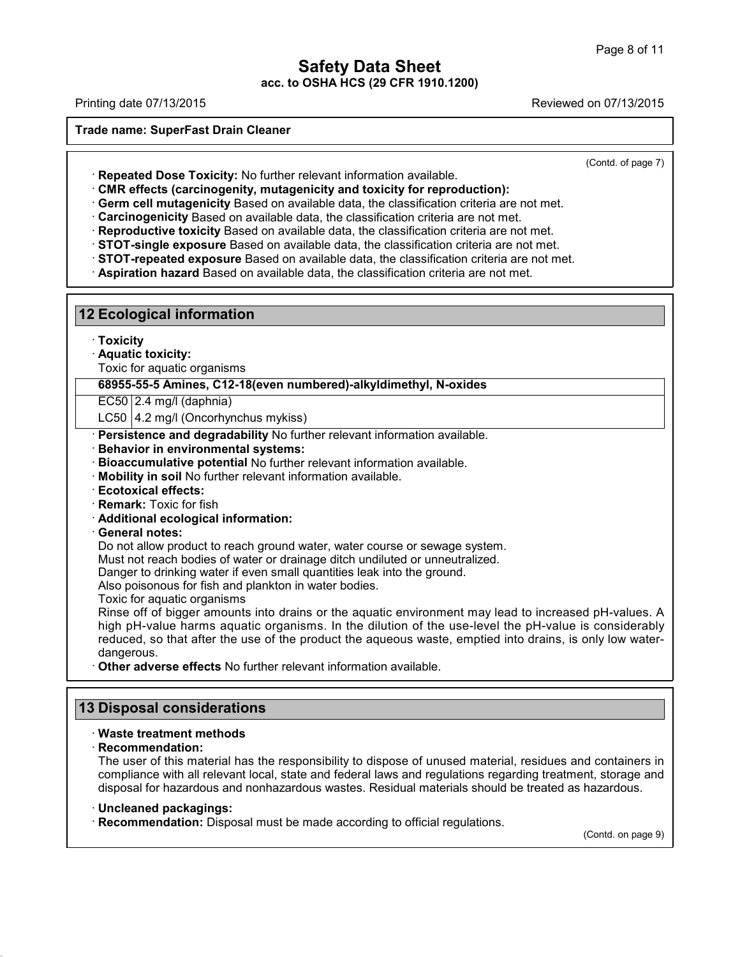Printing date 07/13/2015 Reviewed on 07/13/2015

**Trade name: SuperFast Drain Cleaner**

(Contd. of page 7)

· **Repeated Dose Toxicity:** No further relevant information available.

· **CMR effects (carcinogenity, mutagenicity and toxicity for reproduction):**

· **Germ cell mutagenicity** Based on available data, the classification criteria are not met.

· **Carcinogenicity** Based on available data, the classification criteria are not met.

· **Reproductive toxicity** Based on available data, the classification criteria are not met.

· **STOT-single exposure** Based on available data, the classification criteria are not met.

· **STOT-repeated exposure** Based on available data, the classification criteria are not met.

· **Aspiration hazard** Based on available data, the classification criteria are not met.

**12 Ecological information**

· **Toxicity**

· **Aquatic toxicity:**

Toxic for aquatic organisms

**68955-55-5 Amines, C12-18(even numbered)-alkyldimethyl, N-oxides**

EC50 2.4 mg/l (daphnia)

LC50 | 4.2 mg/l (Oncorhynchus mykiss)

· **Persistence and degradability** No further relevant information available.

· **Behavior in environmental systems:**

- · **Bioaccumulative potential** No further relevant information available.
- · **Mobility in soil** No further relevant information available.
- · **Ecotoxical effects:**
- · **Remark:** Toxic for fish
- · **Additional ecological information:**

#### · **General notes:**

Do not allow product to reach ground water, water course or sewage system.

Must not reach bodies of water or drainage ditch undiluted or unneutralized.

Danger to drinking water if even small quantities leak into the ground.

Also poisonous for fish and plankton in water bodies.

Toxic for aquatic organisms

Rinse off of bigger amounts into drains or the aquatic environment may lead to increased pH-values. A high pH-value harms aquatic organisms. In the dilution of the use-level the pH-value is considerably reduced, so that after the use of the product the aqueous waste, emptied into drains, is only low water dangerous.

· **Other adverse effects** No further relevant information available.

## **13 Disposal considerations**

### · **Waste treatment methods**

### · **Recommendation:**

41.1.0

The user of this material has the responsibility to dispose of unused material, residues and containers in compliance with all relevant local, state and federal laws and regulations regarding treatment, storage and disposal for hazardous and nonhazardous wastes. Residual materials should be treated as hazardous.

## · **Uncleaned packagings:**

· **Recommendation:** Disposal must be made according to official regulations.

(Contd. on page 9)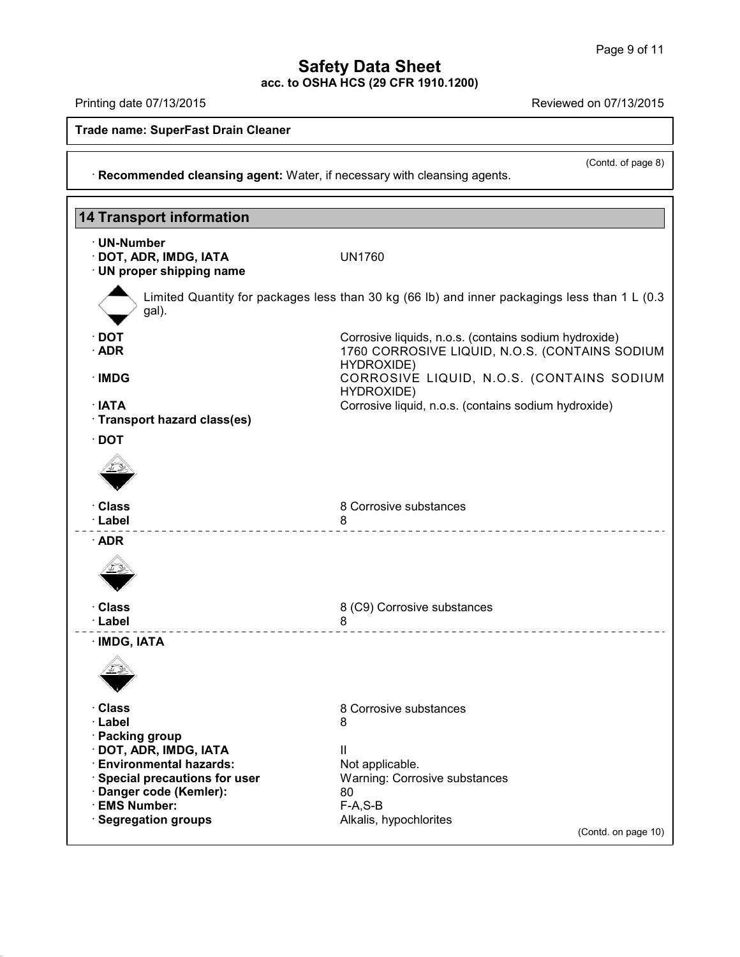(Contd. of page 8)

## **Safety Data Sheet acc. to OSHA HCS (29 CFR 1910.1200)**

Printing date 07/13/2015 Reviewed on 07/13/2015

41.1.0

**Trade name: SuperFast Drain Cleaner**

· **Recommended cleansing agent:** Water, if necessary with cleansing agents.

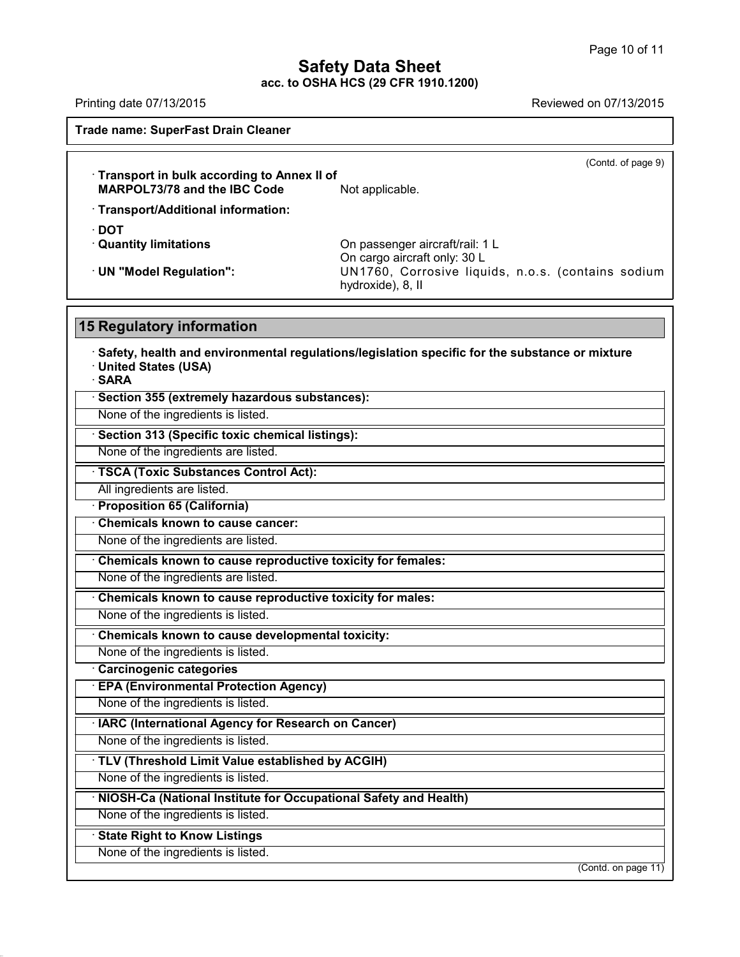## **Safety Data Sheet**

**acc. to OSHA HCS (29 CFR 1910.1200)** Printing date 07/13/2015 Reviewed on 07/13/2015

**Trade name: SuperFast Drain Cleaner** (Contd. of page 9) · **Transport in bulk according to Annex II of MARPOL73/78** and the **IBC Code** Not applicable. · **Transport/Additional information:** · **DOT** On passenger aircraft/rail: 1 L On cargo aircraft only: 30 L · **UN "Model Regulation":** UN1760, Corrosive liquids, n.o.s. (contains sodium hydroxide), 8, II **15 Regulatory information** · **Safety, health and environmental regulations/legislation specific for the substance or mixture** · **United States (USA)** · **SARA** · **Section 355 (extremely hazardous substances):** None of the ingredients is listed. · **Section 313 (Specific toxic chemical listings):** None of the ingredients are listed. · **TSCA (Toxic Substances Control Act):** All ingredients are listed. · **Proposition 65 (California)** · **Chemicals known to cause cancer:** None of the ingredients are listed. · **Chemicals known to cause reproductive toxicity for females:** None of the ingredients are listed. · **Chemicals known to cause reproductive toxicity for males:** None of the ingredients is listed. · **Chemicals known to cause developmental toxicity:** None of the ingredients is listed. · **Carcinogenic categories** · **EPA (Environmental Protection Agency)** None of the ingredients is listed. · **IARC (International Agency for Research on Cancer)** None of the ingredients is listed. · **TLV (Threshold Limit Value established by ACGIH)** None of the ingredients is listed. · **NIOSH-Ca (National Institute for Occupational Safety and Health)** None of the ingredients is listed. · **State Right to Know Listings** None of the ingredients is listed. (Contd. on page 11)

41.1.0